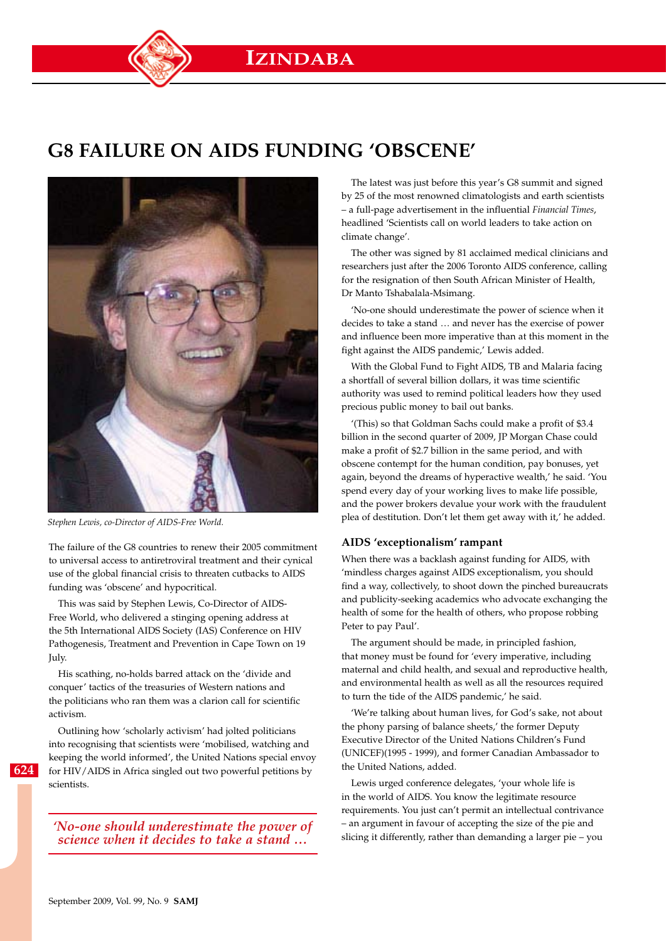# **G8 failure on AIDS funding 'obscene'**



*Stephen Lewis, co-Director of AIDS-Free World.*

The failure of the G8 countries to renew their 2005 commitment to universal access to antiretroviral treatment and their cynical use of the global financial crisis to threaten cutbacks to AIDS funding was 'obscene' and hypocritical.

This was said by Stephen Lewis, Co-Director of AIDS-Free World, who delivered a stinging opening address at the 5th International AIDS Society (IAS) Conference on HIV Pathogenesis, Treatment and Prevention in Cape Town on 19 July.

His scathing, no-holds barred attack on the 'divide and conquer' tactics of the treasuries of western nations and the politicians who ran them was a clarion call for scientific activism.

Outlining how 'scholarly activism' had jolted politicians into recognising that scientists were 'mobilised, watching and keeping the world informed', the United Nations special envoy for HIV/AIDS in Africa singled out two powerful petitions by scientists.

*'No-one should underestimate the power of science when it decides to take a stand …*

The latest was just before this year's G8 summit and signed by 25 of the most renowned climatologists and earth scientists – a full-page advertisement in the influential *Financial Times*, headlined 'Scientists call on world leaders to take action on climate change'.

The other was signed by 81 acclaimed medical clinicians and researchers just after the 2006 Toronto AIDS conference, calling for the resignation of then South African Minister of Health, Dr Manto Tshabalala-Msimang.

'No-one should underestimate the power of science when it decides to take a stand … and never has the exercise of power and influence been more imperative than at this moment in the fight against the AIDS pandemic,' Lewis added.

With the Global Fund to Fight AIDS, TB and Malaria facing a shortfall of several billion dollars, it was time scientific authority was used to remind political leaders how they used precious public money to bail out banks.

'(This) so that Goldman Sachs could make a profit of \$3.4 billion in the second quarter of 2009, JP Morgan Chase could make a profit of \$2.7 billion in the same period, and with obscene contempt for the human condition, pay bonuses, yet again, beyond the dreams of hyperactive wealth,' he said. 'You spend every day of your working lives to make life possible, and the power brokers devalue your work with the fraudulent plea of destitution. Don't let them get away with it,' he added.

#### **AIDS 'exceptionalism' rampant**

When there was a backlash against funding for AIDS, with 'mindless charges against AIDS exceptionalism, you should find a way, collectively, to shoot down the pinched bureaucrats and publicity-seeking academics who advocate exchanging the health of some for the health of others, who propose robbing Peter to pay Paul'.

The argument should be made, in principled fashion, that money must be found for 'every imperative, including maternal and child health, and sexual and reproductive health, and environmental health as well as all the resources required to turn the tide of the AIDS pandemic,' he said.

'We're talking about human lives, for God's sake, not about the phony parsing of balance sheets,' the former Deputy Executive Director of the United Nations Children's Fund (UNICEF)(1995 - 1999), and former Canadian Ambassador to the United Nations, added.

Lewis urged conference delegates, 'your whole life is in the world of AIDS. You know the legitimate resource requirements. You just can't permit an intellectual contrivance – an argument in favour of accepting the size of the pie and slicing it differently, rather than demanding a larger pie – you

**624**